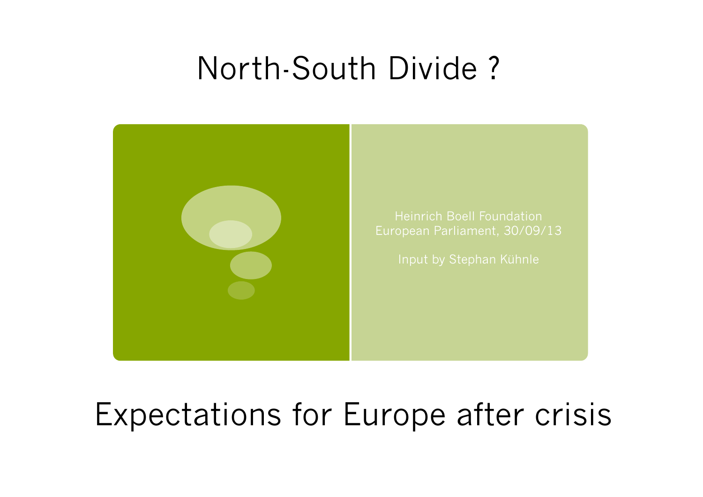# North-South Divide ?



## Expectations for Europe after crisis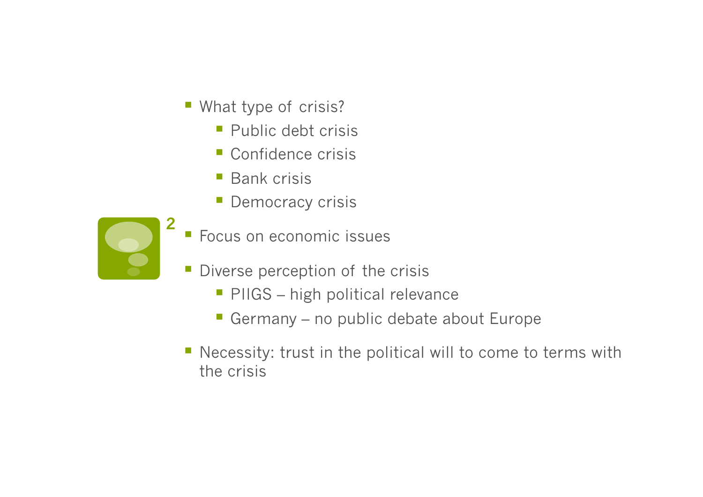- **What type of crisis?** 
	- Public debt crisis
	- Confidence crisis
	- Bank crisis
	- **Democracy crisis**



- Focus on economic issues
- **Diverse perception of the crisis** 
	- **PIIGS** high political relevance
	- Germany no public debate about Europe
- Necessity: trust in the political will to come to terms with the crisis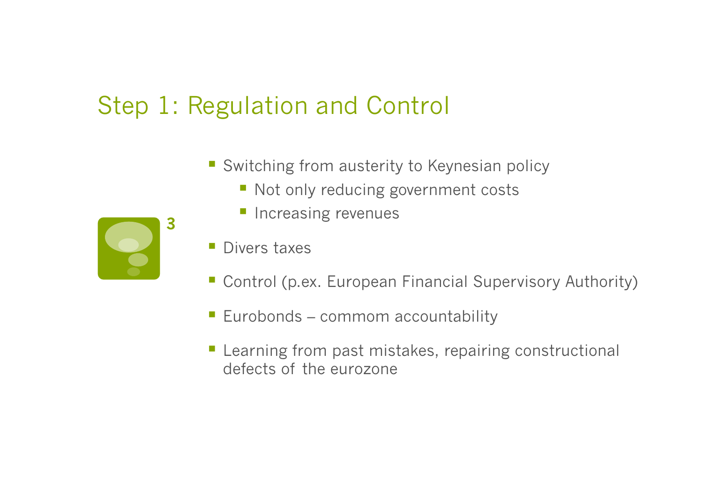#### Step 1: Regulation and Control

- Switching from austerity to Keynesian policy
	- Not only reducing government costs
	- **Increasing revenues**
- **Divers taxes**
- Control (p.ex. European Financial Supervisory Authority)
- **Eurobonds commom accountability**
- **Learning from past mistakes, repairing constructional** defects of the eurozone

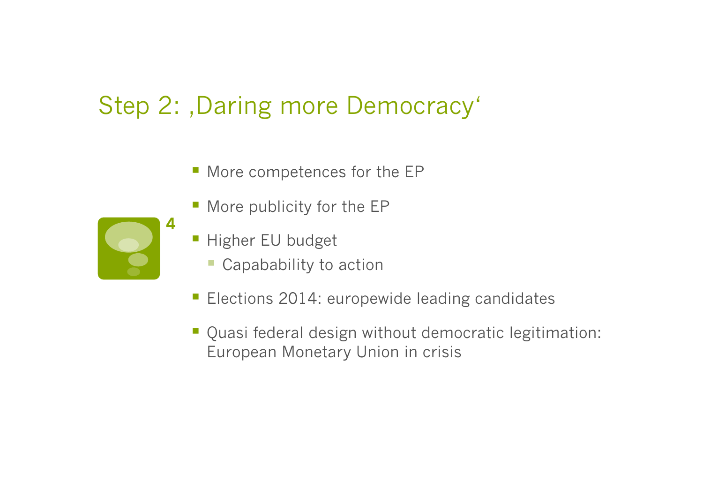### Step 2: , Daring more Democracy'

- **More competences for the EP**
- **More publicity for the EP**
- Higher EU budget
	- Capabability to action
- **Elections 2014: europewide leading candidates**
- Quasi federal design without democratic legitimation: European Monetary Union in crisis